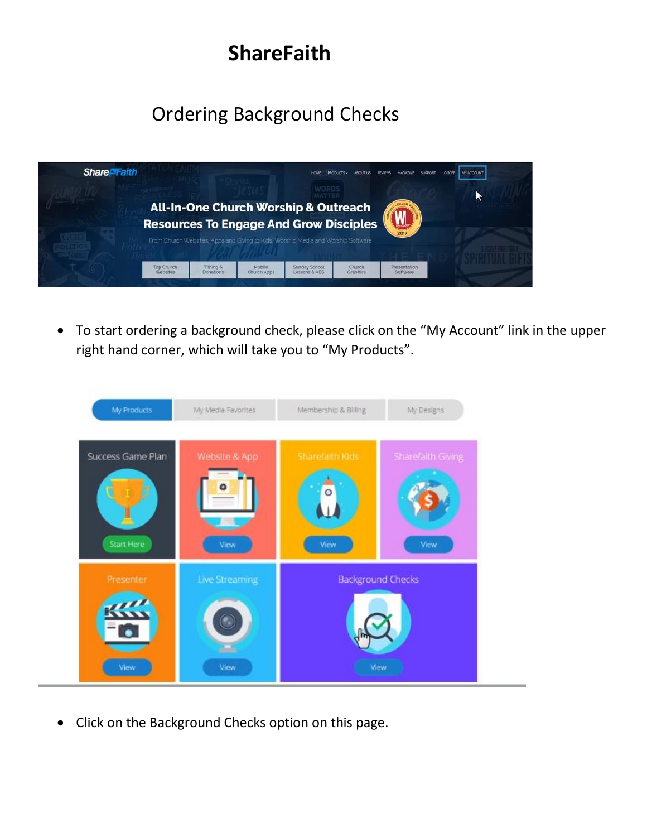# **ShareFaith**

# Ordering Background Checks



• To start ordering a background check, please click on the "My Account" link in the upper right hand corner, which will take you to "My Products".



• Click on the Background Checks option on this page.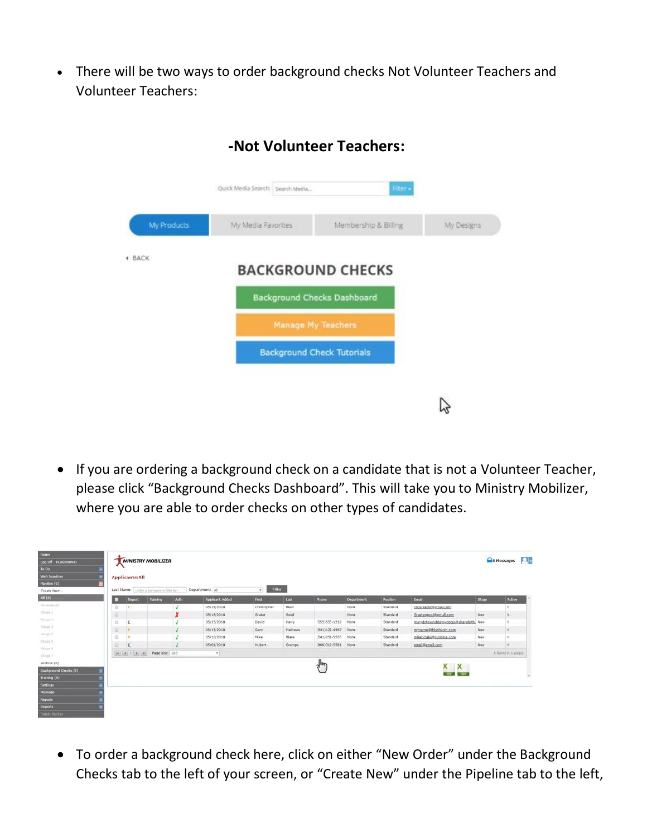• There will be two ways to order background checks Not Volunteer Teachers and Volunteer Teachers:



#### **-Not Volunteer Teachers:**

• If you are ordering a background check on a candidate that is not a Volunteer Teacher, please click "Background Checks Dashboard". This will take you to Ministry Mobilizer, where you are able to order checks on other types of candidates.

| Home<br>Log Off - FLUGN49942 |                       | <b>MINISTRY MOBILIZER</b>                    |                |                        |                           |         |                   |            |          |                                    |       | <b>Que Messages</b> |
|------------------------------|-----------------------|----------------------------------------------|----------------|------------------------|---------------------------|---------|-------------------|------------|----------|------------------------------------|-------|---------------------|
| To De<br>Web Inquiries       |                       |                                              |                |                        |                           |         |                   |            |          |                                    |       |                     |
| Pipeline (6)                 | <b>Applicants:All</b> |                                              |                |                        |                           |         |                   |            |          |                                    |       |                     |
| Create New                   |                       | Last Name: - Enter a just name to filter by- |                | Department: All        | <b>Filter</b><br>$\sim$ 1 |         |                   |            |          |                                    |       |                     |
| <b>All (6)</b>               | Report<br>o           | Training                                     | Auth:          | <b>Applicant Added</b> | First:                    | Last    | Phone             | Department | Position | Email                              | Stage | Active              |
| Unamigrate                   | 日                     |                                              |                | 05/18/2018             | Christopher               | Road    |                   | friong     | Standard | chrisreedsf@gmail.com              |       |                     |
| Dhipe 1                      | 证                     |                                              | λ              | 05/18/2018             | Grater                    | Good    |                   | None       | Standard | Graeteropod@omail.com              | New:  |                     |
| Stage 2                      | $\mathbf{u}$          |                                              |                | 05/15/2018             | David                     | Harry   | (555) 555-1212    | None       | Standard | marvdotexanddavevdotes@sharefaith. | New   |                     |
| State 3                      | 旧                     |                                              |                | 05/15/2018             | Gary                      | Hathews | $(541)123-4567$   | None       | Standard | myname@thischerch.com              | New   | v.                  |
| Stage #                      | 日<br><b>D</b>         |                                              |                | 05/10/2018             | Mike:                     | Blake   | (541)251.5555     | None       | Standard | mikebclake@runtlme.com             | New   |                     |
| Stage 5                      | 6X                    |                                              |                | 05/01/2018             | <b>Hubert</b>             | Grumps  | $(800)319 - 5581$ | None       | Standard | email@email.com                    | New.  |                     |
| Stage 6.<br>Stupy 7          | $H = 1.1$ $H = 1.1$   |                                              | Page size: 100 | v.                     |                           |         |                   |            |          |                                    |       | 6 kens in 1 pages   |
| Archive (0)                  |                       |                                              |                |                        |                           |         | 4 <sub>µ</sub>    |            |          |                                    |       |                     |
| Background Checks (0)        |                       |                                              |                |                        |                           |         |                   |            |          | $X$ $X$                            |       |                     |
| <b>Training (0)</b>          |                       |                                              |                |                        |                           |         |                   |            |          |                                    |       | $\mathcal{R}_i$     |
| <b>Settings</b>              |                       |                                              |                |                        |                           |         |                   |            |          |                                    |       |                     |
| Message                      |                       |                                              |                |                        |                           |         |                   |            |          |                                    |       |                     |
| <b>Reports</b>               |                       |                                              |                |                        |                           |         |                   |            |          |                                    |       |                     |
| <b>Imports</b>               |                       |                                              |                |                        |                           |         |                   |            |          |                                    |       |                     |

• To order a background check here, click on either "New Order" under the Background Checks tab to the left of your screen, or "Create New" under the Pipeline tab to the left,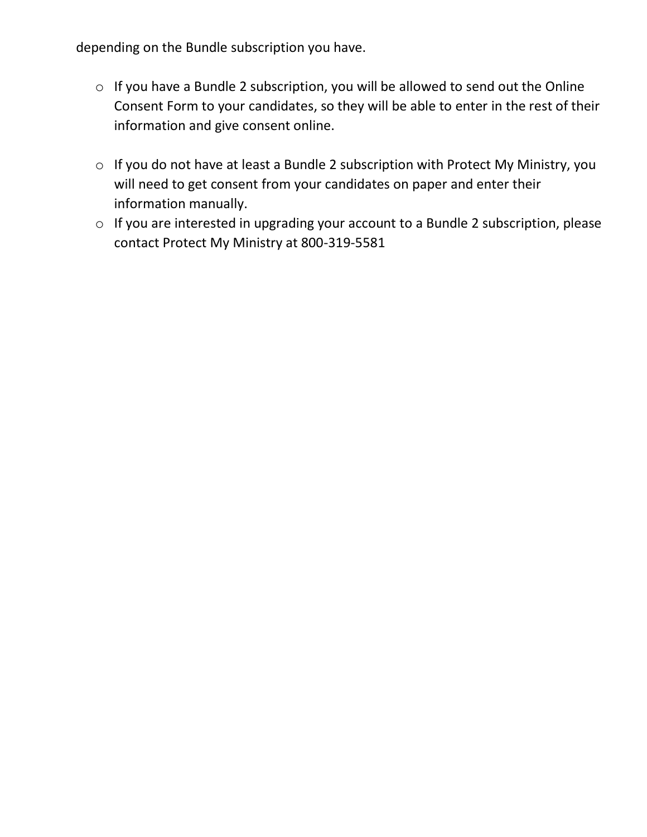depending on the Bundle subscription you have.

- o If you have a Bundle 2 subscription, you will be allowed to send out the Online Consent Form to your candidates, so they will be able to enter in the rest of their information and give consent online.
- o If you do not have at least a Bundle 2 subscription with Protect My Ministry, you will need to get consent from your candidates on paper and enter their information manually.
- o If you are interested in upgrading your account to a Bundle 2 subscription, please contact Protect My Ministry at 800-319-5581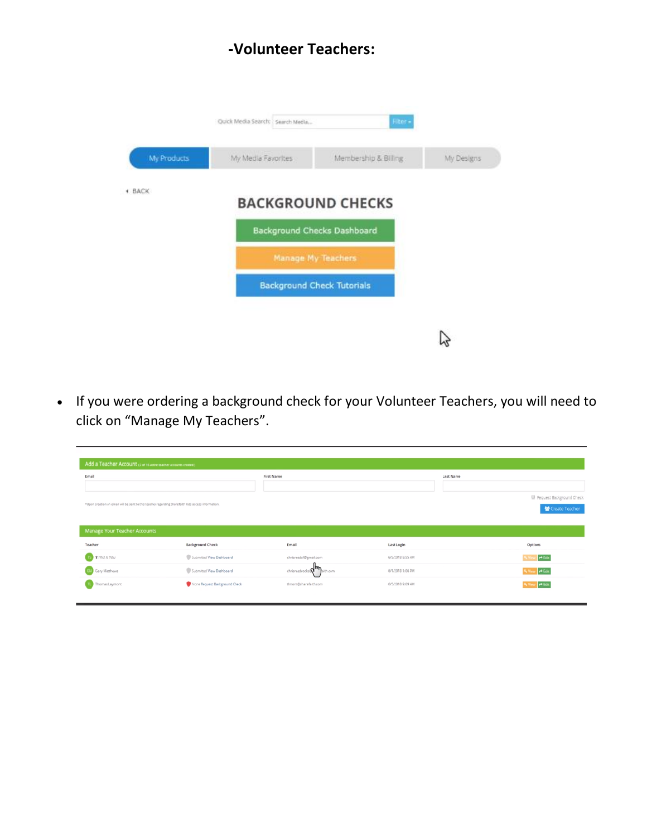#### **-Volunteer Teachers:**



• If you were ordering a background check for your Volunteer Teachers, you will need to click on "Manage My Teachers".

| Add a Teacher Account (2 or 16 active teacher accounts created)                                             |                               |                            |                  |                                              |  |  |  |
|-------------------------------------------------------------------------------------------------------------|-------------------------------|----------------------------|------------------|----------------------------------------------|--|--|--|
| Email<br>*Upon creation an email will be sent to this teacher regarding Sharefalth Kids access information. |                               | First Name                 | Last Name        | Request Background Check<br>₩ Create Teacher |  |  |  |
| Manage Your Teacher Accounts                                                                                |                               |                            |                  |                                              |  |  |  |
| Teacher                                                                                                     | Background Check              | Email                      | Last Login       | Options                                      |  |  |  |
| <b>This is You</b>                                                                                          | Submitted View Dashboard      | chrisreedsf@gmail.com      | 6/5/2018 8:55 AM | $r$ Edit                                     |  |  |  |
| Gary Matthews                                                                                               | Submitted View Dashboard      | chrisreedrocks Q maith.com | 6/1/2018 1:06 PM | $H$ Edit<br><b>G. View</b>                   |  |  |  |
| Thomas Laymont                                                                                              | Mone Request Background Check | timont@sharefatth.com      | 6/5/2018 9:09 AM | <b>PEdit</b><br><b>Gy View</b>               |  |  |  |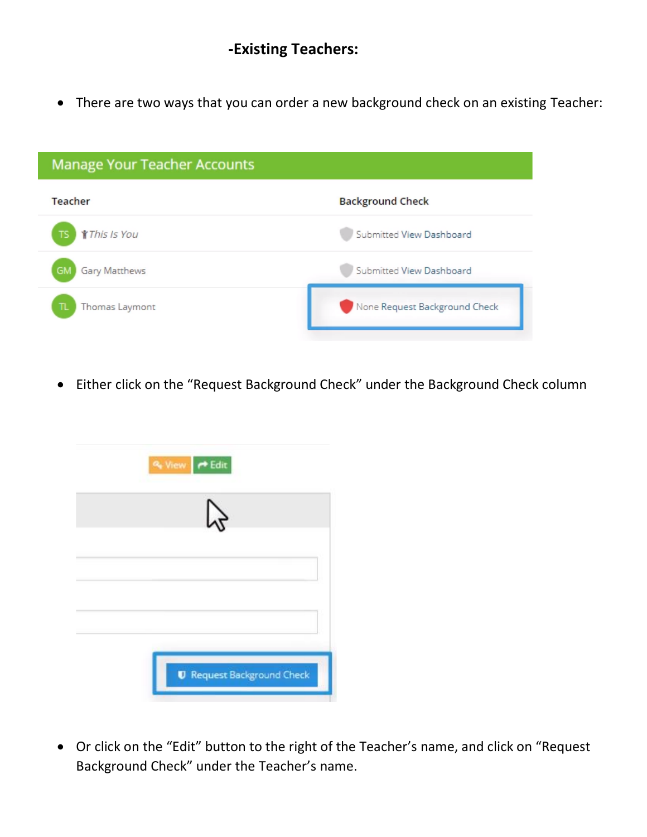### **-Existing Teachers:**

• There are two ways that you can order a new background check on an existing Teacher:

| <b>Manage Your Teacher Accounts</b> |                               |  |  |  |
|-------------------------------------|-------------------------------|--|--|--|
| Teacher                             | <b>Background Check</b>       |  |  |  |
| <b>This Is You</b>                  | Submitted View Dashboard      |  |  |  |
| Gary Matthews                       | Submitted View Dashboard      |  |  |  |
| Thomas Laymont                      | None Request Background Check |  |  |  |

• Either click on the "Request Background Check" under the Background Check column



• Or click on the "Edit" button to the right of the Teacher's name, and click on "Request Background Check" under the Teacher's name.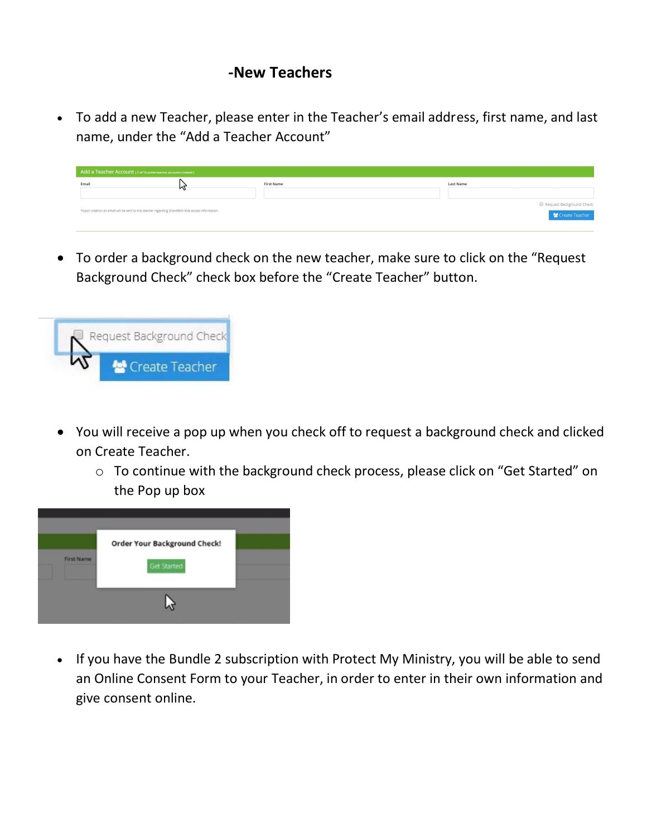#### **-New Teachers**

• To add a new Teacher, please enter in the Teacher's email address, first name, and last name, under the "Add a Teacher Account"

| Add a Teacher Account (2 of 16 active teacher accounts created)                                    |   |            |  |                          |  |  |
|----------------------------------------------------------------------------------------------------|---|------------|--|--------------------------|--|--|
| Email                                                                                              | W | First Name |  | Last Name                |  |  |
|                                                                                                    |   |            |  |                          |  |  |
|                                                                                                    |   |            |  | Request Background Check |  |  |
| *Upon creation an email will be sent to this teacher regarding Sharefaith Kids access information. |   |            |  | Create Teacher           |  |  |

• To order a background check on the new teacher, make sure to click on the "Request Background Check" check box before the "Create Teacher" button.



- You will receive a pop up when you check off to request a background check and clicked on Create Teacher.
	- o To continue with the background check process, please click on "Get Started" on the Pop up box



• If you have the Bundle 2 subscription with Protect My Ministry, you will be able to send an Online Consent Form to your Teacher, in order to enter in their own information and give consent online.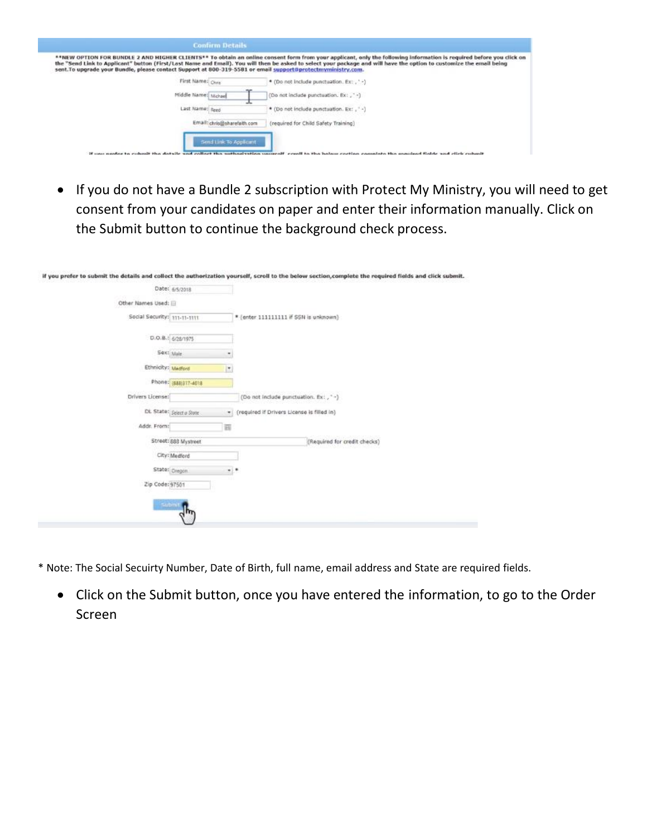| <b>Confirm Details</b>                                                                                       |                                                                                                                                                                                                                                                                                                                                             |
|--------------------------------------------------------------------------------------------------------------|---------------------------------------------------------------------------------------------------------------------------------------------------------------------------------------------------------------------------------------------------------------------------------------------------------------------------------------------|
| sent. To upgrade your Bundle, please contact Support at 800-319-5581 or email support@protectmyministry.com. | **NEW OPTION FOR BUNDLE 2 AND HIGHER CLIENTS** To obtain an online consent form from your applicant, only the following information is required before you click on<br>the "Send Link to Applicant" button (First/Last Name and Email). You will then be asked to select your package and will have the option to customize the email being |
| First Name: Ches                                                                                             | * (Do not include punctuation, Ex:, '-)                                                                                                                                                                                                                                                                                                     |
| Middle Name: Michael                                                                                         | (Do not include punctuation, Ex: , ' -)                                                                                                                                                                                                                                                                                                     |
| Last Name: Reed                                                                                              | * (Do not include punctuation, Ex: , ' -)                                                                                                                                                                                                                                                                                                   |
| Email: chris@sharefalth.com                                                                                  | (required for Child Safety Training)                                                                                                                                                                                                                                                                                                        |
| Send Link To Applicant                                                                                       | If you meeter to culomit the details and collect the authorization wavered! could to the helow cockies complete the member fields and click culomit                                                                                                                                                                                         |

• If you do not have a Bundle 2 subscription with Protect My Ministry, you will need to get consent from your candidates on paper and enter their information manually. Click on the Submit button to continue the background check process.

if you prefer to submit the details and collect the authorization yourself, scroll to the below section, complete the required fields and click submit.

Pater comme

|                              | manni (2/2/5310)               |                                            |
|------------------------------|--------------------------------|--------------------------------------------|
| Other Names Used: E          |                                |                                            |
| Social Security: 111-11-1111 |                                | * (enter 111111111 if SSN is unknown)      |
|                              | D.O.B.: 6/28/1975              |                                            |
| Sext Male                    | ٠                              |                                            |
| Ethnicity: Medford           | ×                              |                                            |
|                              | Phone: (\$88)317-4018          |                                            |
| Drivers License:             |                                | (Do not include punctuation. Ex: , *-)     |
|                              | DL State: Select a State<br>×. | (required if Drivers License is filled in) |
| Addr. From:                  | 冒                              |                                            |
|                              | Street: 888 Mystreet           | (Required for credit checks)               |
|                              | City: Medlord                  |                                            |
|                              | State: Diegon<br>. .           |                                            |
| Zip Code: 97501              |                                |                                            |
|                              | Submit (                       |                                            |
|                              | لسرك                           |                                            |
|                              |                                |                                            |

\* Note: The Social Secuirty Number, Date of Birth, full name, email address and State are required fields.

• Click on the Submit button, once you have entered the information, to go to the Order Screen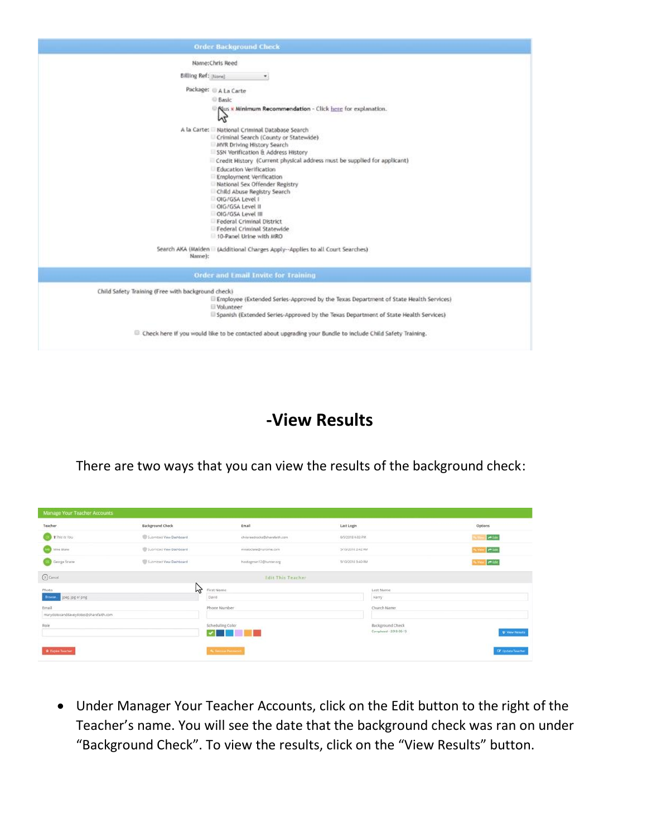

### **-View Results**

There are two ways that you can view the results of the background check:

| Manage Your Teacher Accounts          |                          |                               |                   |                        |                          |
|---------------------------------------|--------------------------|-------------------------------|-------------------|------------------------|--------------------------|
| Teacher.                              | <b>Background Check</b>  | Email                         | Last Login        |                        | Options                  |
| <b>CED \$7his as You</b>              | Submitted View Dathboard | chrisreedrocks@sharsfalth.com | 6/5/2018 4:03 PM  |                        | <b>PER</b>               |
| <b>MID</b> Mike Blake                 | Submitted View Dashboard | mitebolake@rumzime.com        | 5/10/2018 2:42 PM |                        | int                      |
| <b>Sales Secrete</b>                  | Submitted Vaw Dashboard  | hordogmen12@hunter.org        | 5/10/2018 3:40 PM |                        | $-50t$                   |
| <b><i>C</i></b> Center                |                          | <b>Edit This Teacher</b>      |                   |                        |                          |
| Photo                                 | M                        | First Name                    |                   | Last Name              |                          |
| joeg. jpg or png<br>Srover.           |                          | David                         |                   | Harry                  |                          |
| Email                                 |                          | Phone Number                  |                   | Church Name            |                          |
| marydotexanddaveydotes@sharefaith.com |                          |                               |                   |                        |                          |
| Role                                  |                          | Scheduling Color              |                   | Background Check       |                          |
|                                       |                          | <b>Martin Barn</b>            |                   | Completed - 2018-05-15 | <b>U</b> View Results    |
|                                       |                          |                               |                   |                        |                          |
| <b>B</b> Expire Teacher               |                          | % Network Pastment            |                   |                        | <b>IZ Update Teacher</b> |

• Under Manager Your Teacher Accounts, click on the Edit button to the right of the Teacher's name. You will see the date that the background check was ran on under "Background Check". To view the results, click on the "View Results" button.